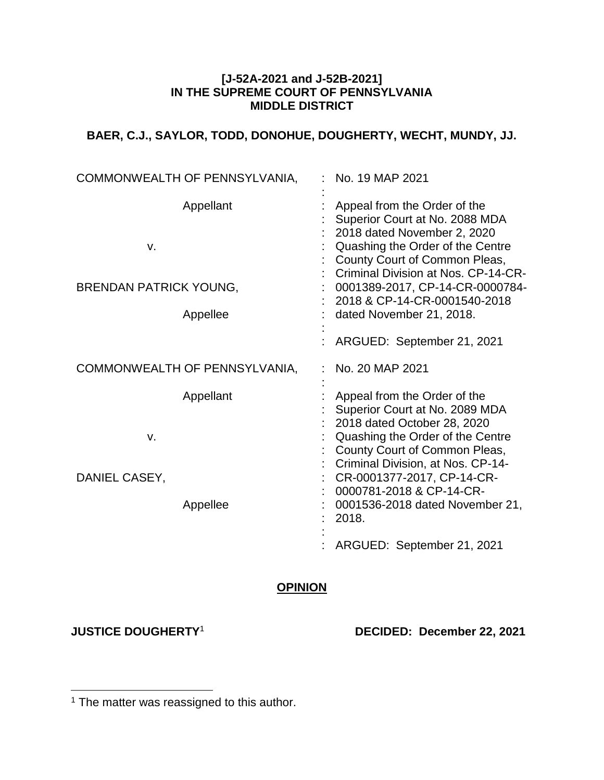### **[J-52A-2021 and J-52B-2021] IN THE SUPREME COURT OF PENNSYLVANIA MIDDLE DISTRICT**

# **BAER, C.J., SAYLOR, TODD, DONOHUE, DOUGHERTY, WECHT, MUNDY, JJ.**

| COMMONWEALTH OF PENNSYLVANIA,                                | No. 19 MAP 2021                                                                                                                                                                                                                                                                                          |
|--------------------------------------------------------------|----------------------------------------------------------------------------------------------------------------------------------------------------------------------------------------------------------------------------------------------------------------------------------------------------------|
| Appellant<br>v.<br><b>BRENDAN PATRICK YOUNG,</b><br>Appellee | Appeal from the Order of the<br>Superior Court at No. 2088 MDA<br>2018 dated November 2, 2020<br>Quashing the Order of the Centre<br>County Court of Common Pleas,<br>Criminal Division at Nos. CP-14-CR-<br>0001389-2017, CP-14-CR-0000784-<br>2018 & CP-14-CR-0001540-2018<br>dated November 21, 2018. |
|                                                              | ARGUED: September 21, 2021                                                                                                                                                                                                                                                                               |
| COMMONWEALTH OF PENNSYLVANIA,                                | No. 20 MAP 2021                                                                                                                                                                                                                                                                                          |
| Appellant<br>v.                                              | Appeal from the Order of the<br>Superior Court at No. 2089 MDA<br>2018 dated October 28, 2020<br>Quashing the Order of the Centre<br>County Court of Common Pleas,<br>Criminal Division, at Nos. CP-14-                                                                                                  |
| DANIEL CASEY,<br>Appellee                                    | CR-0001377-2017, CP-14-CR-<br>0000781-2018 & CP-14-CR-<br>0001536-2018 dated November 21,<br>2018.                                                                                                                                                                                                       |
|                                                              | ARGUED: September 21, 2021                                                                                                                                                                                                                                                                               |

## **OPINION**

 $\overline{a}$ 

**JUSTICE DOUGHERTY**<sup>1</sup> **DECIDED: December 22, 2021**

 $1$  The matter was reassigned to this author.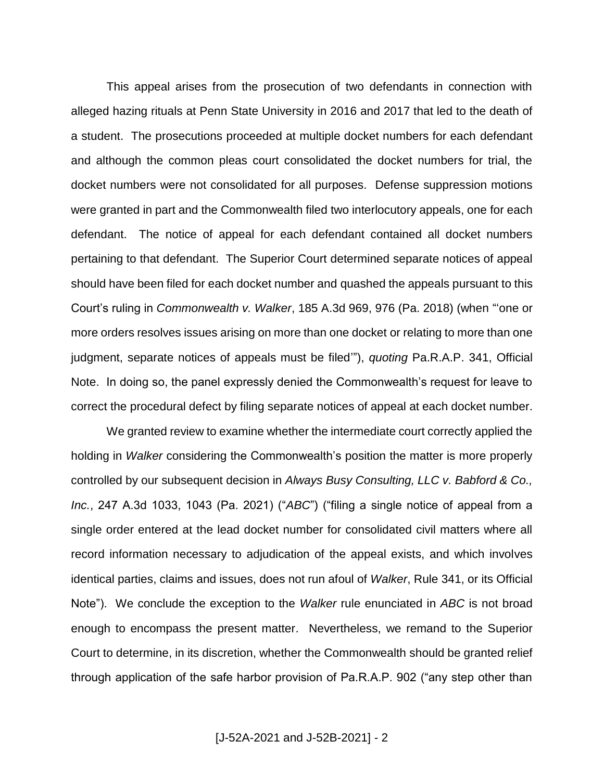This appeal arises from the prosecution of two defendants in connection with alleged hazing rituals at Penn State University in 2016 and 2017 that led to the death of a student. The prosecutions proceeded at multiple docket numbers for each defendant and although the common pleas court consolidated the docket numbers for trial, the docket numbers were not consolidated for all purposes. Defense suppression motions were granted in part and the Commonwealth filed two interlocutory appeals, one for each defendant. The notice of appeal for each defendant contained all docket numbers pertaining to that defendant. The Superior Court determined separate notices of appeal should have been filed for each docket number and quashed the appeals pursuant to this Court's ruling in *Commonwealth v. Walker*, 185 A.3d 969, 976 (Pa. 2018) (when "'one or more orders resolves issues arising on more than one docket or relating to more than one judgment, separate notices of appeals must be filed'"), *quoting* Pa.R.A.P. 341, Official Note. In doing so, the panel expressly denied the Commonwealth's request for leave to correct the procedural defect by filing separate notices of appeal at each docket number.

We granted review to examine whether the intermediate court correctly applied the holding in *Walker* considering the Commonwealth's position the matter is more properly controlled by our subsequent decision in *Always Busy Consulting, LLC v. Babford & Co., Inc.*, 247 A.3d 1033, 1043 (Pa. 2021) ("*ABC*") ("filing a single notice of appeal from a single order entered at the lead docket number for consolidated civil matters where all record information necessary to adjudication of the appeal exists, and which involves identical parties, claims and issues, does not run afoul of *Walker*, Rule 341, or its Official Note"). We conclude the exception to the *Walker* rule enunciated in *ABC* is not broad enough to encompass the present matter. Nevertheless, we remand to the Superior Court to determine, in its discretion, whether the Commonwealth should be granted relief through application of the safe harbor provision of Pa.R.A.P. 902 ("any step other than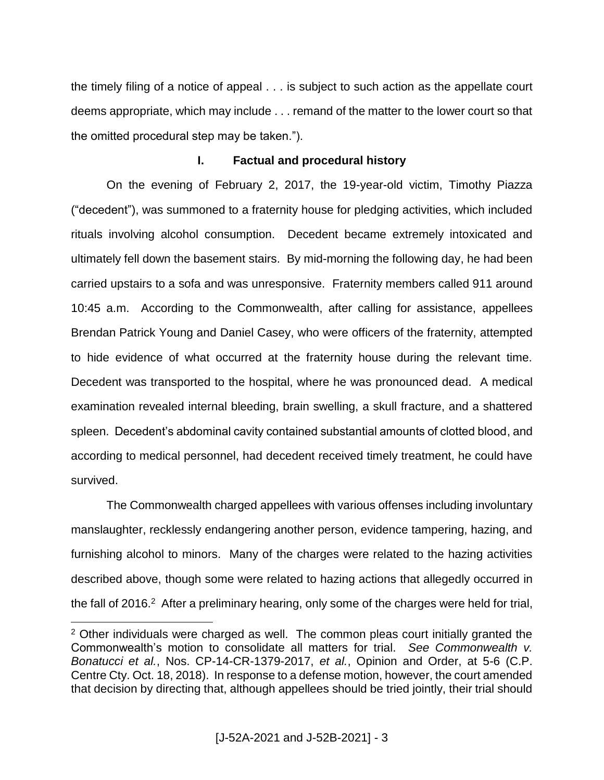the timely filing of a notice of appeal . . . is subject to such action as the appellate court deems appropriate, which may include . . . remand of the matter to the lower court so that the omitted procedural step may be taken.").

#### **I. Factual and procedural history**

On the evening of February 2, 2017, the 19-year-old victim, Timothy Piazza ("decedent"), was summoned to a fraternity house for pledging activities, which included rituals involving alcohol consumption. Decedent became extremely intoxicated and ultimately fell down the basement stairs. By mid-morning the following day, he had been carried upstairs to a sofa and was unresponsive. Fraternity members called 911 around 10:45 a.m. According to the Commonwealth, after calling for assistance, appellees Brendan Patrick Young and Daniel Casey, who were officers of the fraternity, attempted to hide evidence of what occurred at the fraternity house during the relevant time. Decedent was transported to the hospital, where he was pronounced dead. A medical examination revealed internal bleeding, brain swelling, a skull fracture, and a shattered spleen. Decedent's abdominal cavity contained substantial amounts of clotted blood, and according to medical personnel, had decedent received timely treatment, he could have survived.

The Commonwealth charged appellees with various offenses including involuntary manslaughter, recklessly endangering another person, evidence tampering, hazing, and furnishing alcohol to minors. Many of the charges were related to the hazing activities described above, though some were related to hazing actions that allegedly occurred in the fall of 2016.<sup>2</sup> After a preliminary hearing, only some of the charges were held for trial,

 $\overline{a}$ <sup>2</sup> Other individuals were charged as well. The common pleas court initially granted the Commonwealth's motion to consolidate all matters for trial. *See Commonwealth v. Bonatucci et al.*, Nos. CP-14-CR-1379-2017, *et al.*, Opinion and Order, at 5-6 (C.P. Centre Cty. Oct. 18, 2018). In response to a defense motion, however, the court amended that decision by directing that, although appellees should be tried jointly, their trial should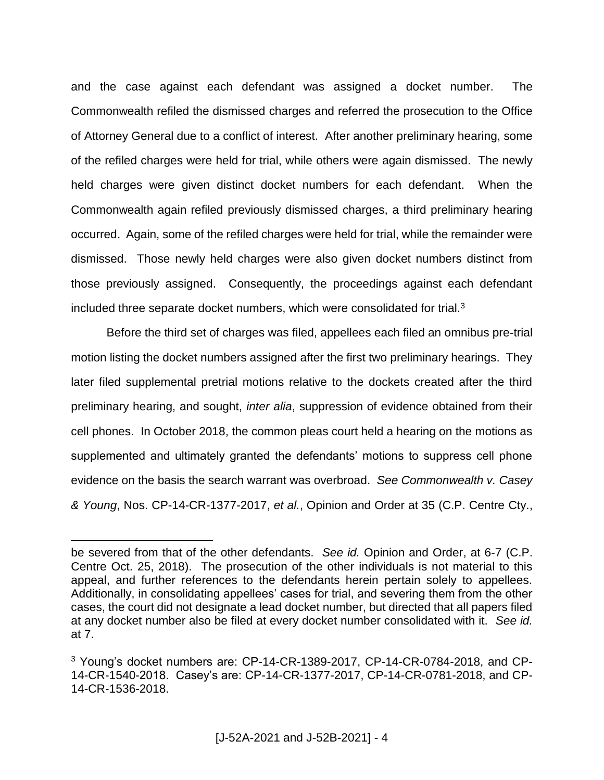and the case against each defendant was assigned a docket number. The Commonwealth refiled the dismissed charges and referred the prosecution to the Office of Attorney General due to a conflict of interest. After another preliminary hearing, some of the refiled charges were held for trial, while others were again dismissed. The newly held charges were given distinct docket numbers for each defendant. When the Commonwealth again refiled previously dismissed charges, a third preliminary hearing occurred. Again, some of the refiled charges were held for trial, while the remainder were dismissed. Those newly held charges were also given docket numbers distinct from those previously assigned. Consequently, the proceedings against each defendant included three separate docket numbers, which were consolidated for trial.<sup>3</sup>

Before the third set of charges was filed, appellees each filed an omnibus pre-trial motion listing the docket numbers assigned after the first two preliminary hearings. They later filed supplemental pretrial motions relative to the dockets created after the third preliminary hearing, and sought, *inter alia*, suppression of evidence obtained from their cell phones. In October 2018, the common pleas court held a hearing on the motions as supplemented and ultimately granted the defendants' motions to suppress cell phone evidence on the basis the search warrant was overbroad. *See Commonwealth v. Casey & Young*, Nos. CP-14-CR-1377-2017, *et al.*, Opinion and Order at 35 (C.P. Centre Cty.,

be severed from that of the other defendants. *See id.* Opinion and Order, at 6-7 (C.P. Centre Oct. 25, 2018). The prosecution of the other individuals is not material to this appeal, and further references to the defendants herein pertain solely to appellees. Additionally, in consolidating appellees' cases for trial, and severing them from the other cases, the court did not designate a lead docket number, but directed that all papers filed at any docket number also be filed at every docket number consolidated with it. *See id.* at 7.

<sup>3</sup> Young's docket numbers are: CP-14-CR-1389-2017, CP-14-CR-0784-2018, and CP-14-CR-1540-2018. Casey's are: CP-14-CR-1377-2017, CP-14-CR-0781-2018, and CP-14-CR-1536-2018.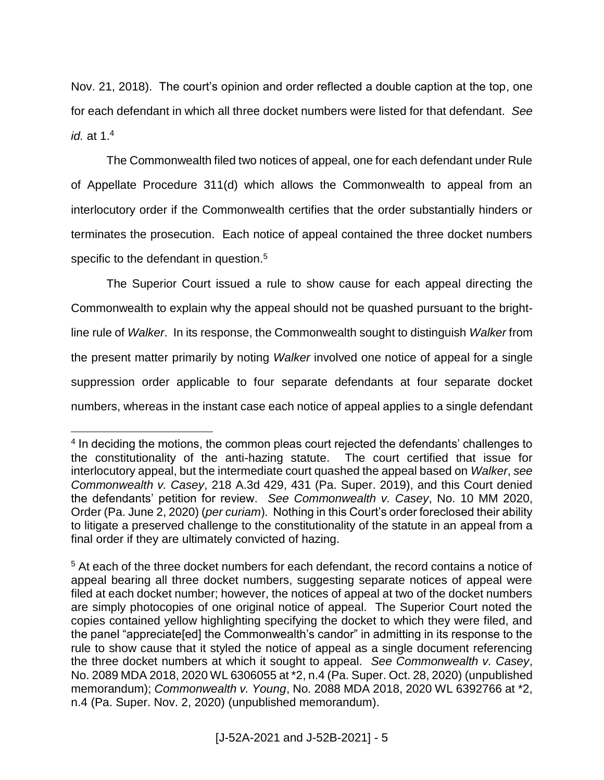Nov. 21, 2018). The court's opinion and order reflected a double caption at the top, one for each defendant in which all three docket numbers were listed for that defendant. *See id.* at 1.<sup>4</sup>

The Commonwealth filed two notices of appeal, one for each defendant under Rule of Appellate Procedure 311(d) which allows the Commonwealth to appeal from an interlocutory order if the Commonwealth certifies that the order substantially hinders or terminates the prosecution. Each notice of appeal contained the three docket numbers specific to the defendant in question.<sup>5</sup>

The Superior Court issued a rule to show cause for each appeal directing the Commonwealth to explain why the appeal should not be quashed pursuant to the brightline rule of *Walker*. In its response, the Commonwealth sought to distinguish *Walker* from the present matter primarily by noting *Walker* involved one notice of appeal for a single suppression order applicable to four separate defendants at four separate docket numbers, whereas in the instant case each notice of appeal applies to a single defendant

<sup>&</sup>lt;sup>4</sup> In deciding the motions, the common pleas court rejected the defendants' challenges to the constitutionality of the anti-hazing statute. The court certified that issue for interlocutory appeal, but the intermediate court quashed the appeal based on *Walker*, *see Commonwealth v. Casey*, 218 A.3d 429, 431 (Pa. Super. 2019), and this Court denied the defendants' petition for review. *See Commonwealth v. Casey*, No. 10 MM 2020, Order (Pa. June 2, 2020) (*per curiam*). Nothing in this Court's order foreclosed their ability to litigate a preserved challenge to the constitutionality of the statute in an appeal from a final order if they are ultimately convicted of hazing.

<sup>5</sup> At each of the three docket numbers for each defendant, the record contains a notice of appeal bearing all three docket numbers, suggesting separate notices of appeal were filed at each docket number; however, the notices of appeal at two of the docket numbers are simply photocopies of one original notice of appeal. The Superior Court noted the copies contained yellow highlighting specifying the docket to which they were filed, and the panel "appreciate[ed] the Commonwealth's candor" in admitting in its response to the rule to show cause that it styled the notice of appeal as a single document referencing the three docket numbers at which it sought to appeal. *See Commonwealth v. Casey*, No. 2089 MDA 2018, 2020 WL 6306055 at \*2, n.4 (Pa. Super. Oct. 28, 2020) (unpublished memorandum); *Commonwealth v. Young*, No. 2088 MDA 2018, 2020 WL 6392766 at \*2, n.4 (Pa. Super. Nov. 2, 2020) (unpublished memorandum).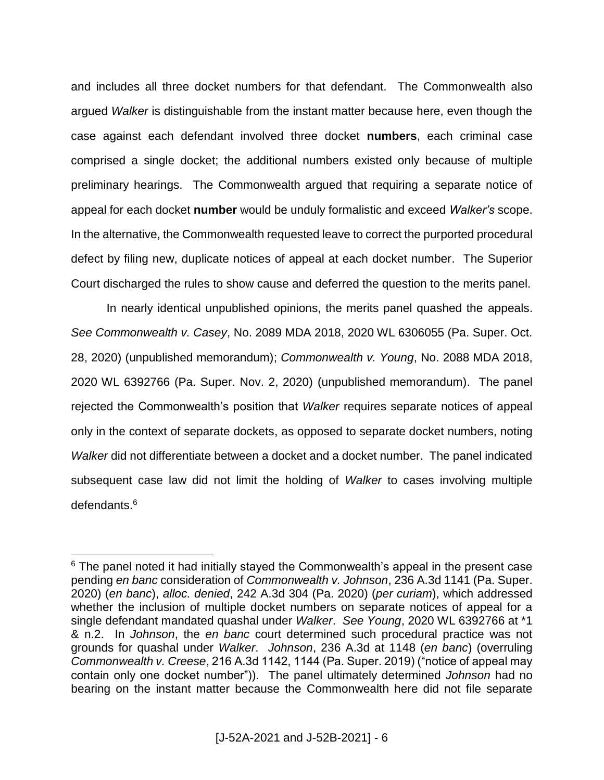and includes all three docket numbers for that defendant. The Commonwealth also argued *Walker* is distinguishable from the instant matter because here, even though the case against each defendant involved three docket **numbers**, each criminal case comprised a single docket; the additional numbers existed only because of multiple preliminary hearings. The Commonwealth argued that requiring a separate notice of appeal for each docket **number** would be unduly formalistic and exceed *Walker's* scope. In the alternative, the Commonwealth requested leave to correct the purported procedural defect by filing new, duplicate notices of appeal at each docket number. The Superior Court discharged the rules to show cause and deferred the question to the merits panel.

In nearly identical unpublished opinions, the merits panel quashed the appeals. *See Commonwealth v. Casey*, No. 2089 MDA 2018, 2020 WL 6306055 (Pa. Super. Oct. 28, 2020) (unpublished memorandum); *Commonwealth v. Young*, No. 2088 MDA 2018, 2020 WL 6392766 (Pa. Super. Nov. 2, 2020) (unpublished memorandum). The panel rejected the Commonwealth's position that *Walker* requires separate notices of appeal only in the context of separate dockets, as opposed to separate docket numbers, noting *Walker* did not differentiate between a docket and a docket number. The panel indicated subsequent case law did not limit the holding of *Walker* to cases involving multiple defendants.<sup>6</sup>

 $6$  The panel noted it had initially stayed the Commonwealth's appeal in the present case pending *en banc* consideration of *Commonwealth v. Johnson*, 236 A.3d 1141 (Pa. Super. 2020) (*en banc*), *alloc. denied*, 242 A.3d 304 (Pa. 2020) (*per curiam*), which addressed whether the inclusion of multiple docket numbers on separate notices of appeal for a single defendant mandated quashal under *Walker*. *See Young*, 2020 WL 6392766 at \*1 & n.2. In *Johnson*, the *en banc* court determined such procedural practice was not grounds for quashal under *Walker*. *Johnson*, 236 A.3d at 1148 (*en banc*) (overruling *Commonwealth v. Creese*, 216 A.3d 1142, 1144 (Pa. Super. 2019) ("notice of appeal may contain only one docket number")). The panel ultimately determined *Johnson* had no bearing on the instant matter because the Commonwealth here did not file separate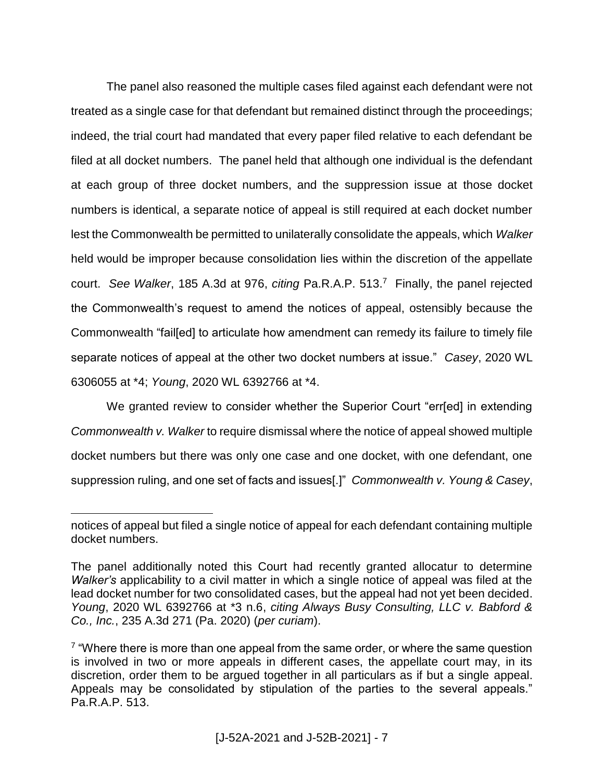The panel also reasoned the multiple cases filed against each defendant were not treated as a single case for that defendant but remained distinct through the proceedings; indeed, the trial court had mandated that every paper filed relative to each defendant be filed at all docket numbers. The panel held that although one individual is the defendant at each group of three docket numbers, and the suppression issue at those docket numbers is identical, a separate notice of appeal is still required at each docket number lest the Commonwealth be permitted to unilaterally consolidate the appeals, which *Walker* held would be improper because consolidation lies within the discretion of the appellate court. *See Walker*, 185 A.3d at 976, *citing* Pa.R.A.P. 513.<sup>7</sup> Finally, the panel rejected the Commonwealth's request to amend the notices of appeal, ostensibly because the Commonwealth "fail[ed] to articulate how amendment can remedy its failure to timely file separate notices of appeal at the other two docket numbers at issue." *Casey*, 2020 WL 6306055 at \*4; *Young*, 2020 WL 6392766 at \*4.

We granted review to consider whether the Superior Court "err[ed] in extending *Commonwealth v. Walker* to require dismissal where the notice of appeal showed multiple docket numbers but there was only one case and one docket, with one defendant, one suppression ruling, and one set of facts and issues[.]" *Commonwealth v. Young & Casey*,

notices of appeal but filed a single notice of appeal for each defendant containing multiple docket numbers.

The panel additionally noted this Court had recently granted allocatur to determine *Walker's* applicability to a civil matter in which a single notice of appeal was filed at the lead docket number for two consolidated cases, but the appeal had not yet been decided. *Young*, 2020 WL 6392766 at \*3 n.6, *citing Always Busy Consulting, LLC v. Babford & Co., Inc.*, 235 A.3d 271 (Pa. 2020) (*per curiam*).

 $7$  "Where there is more than one appeal from the same order, or where the same question is involved in two or more appeals in different cases, the appellate court may, in its discretion, order them to be argued together in all particulars as if but a single appeal. Appeals may be consolidated by stipulation of the parties to the several appeals." Pa.R.A.P. 513.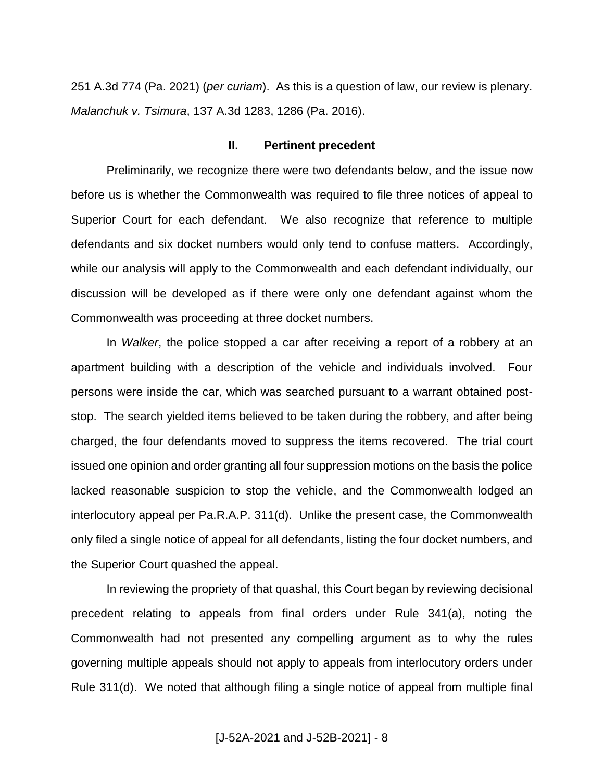251 A.3d 774 (Pa. 2021) (*per curiam*). As this is a question of law, our review is plenary. *Malanchuk v. Tsimura*, 137 A.3d 1283, 1286 (Pa. 2016).

#### **II. Pertinent precedent**

Preliminarily, we recognize there were two defendants below, and the issue now before us is whether the Commonwealth was required to file three notices of appeal to Superior Court for each defendant. We also recognize that reference to multiple defendants and six docket numbers would only tend to confuse matters. Accordingly, while our analysis will apply to the Commonwealth and each defendant individually, our discussion will be developed as if there were only one defendant against whom the Commonwealth was proceeding at three docket numbers.

In *Walker*, the police stopped a car after receiving a report of a robbery at an apartment building with a description of the vehicle and individuals involved. Four persons were inside the car, which was searched pursuant to a warrant obtained poststop. The search yielded items believed to be taken during the robbery, and after being charged, the four defendants moved to suppress the items recovered. The trial court issued one opinion and order granting all four suppression motions on the basis the police lacked reasonable suspicion to stop the vehicle, and the Commonwealth lodged an interlocutory appeal per Pa.R.A.P. 311(d). Unlike the present case, the Commonwealth only filed a single notice of appeal for all defendants, listing the four docket numbers, and the Superior Court quashed the appeal.

In reviewing the propriety of that quashal, this Court began by reviewing decisional precedent relating to appeals from final orders under Rule 341(a), noting the Commonwealth had not presented any compelling argument as to why the rules governing multiple appeals should not apply to appeals from interlocutory orders under Rule 311(d). We noted that although filing a single notice of appeal from multiple final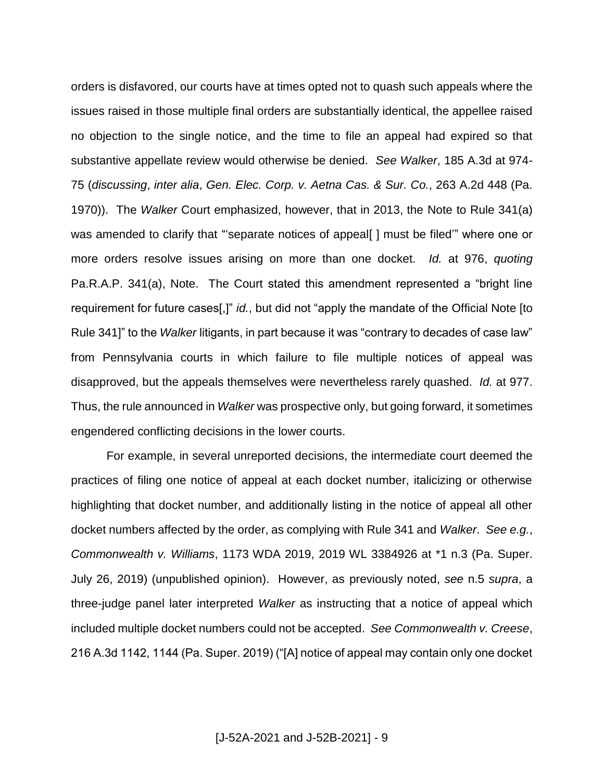orders is disfavored, our courts have at times opted not to quash such appeals where the issues raised in those multiple final orders are substantially identical, the appellee raised no objection to the single notice, and the time to file an appeal had expired so that substantive appellate review would otherwise be denied. *See Walker*, 185 A.3d at 974- 75 (*discussing*, *inter alia*, *Gen. Elec. Corp. v. Aetna Cas. & Sur. Co.*, 263 A.2d 448 (Pa. 1970)). The *Walker* Court emphasized, however, that in 2013, the Note to Rule 341(a) was amended to clarify that "separate notices of appeal | must be filed" where one or more orders resolve issues arising on more than one docket. *Id.* at 976, *quoting* Pa.R.A.P. 341(a), Note. The Court stated this amendment represented a "bright line requirement for future cases[,]" *id.*, but did not "apply the mandate of the Official Note [to Rule 341]" to the *Walker* litigants, in part because it was "contrary to decades of case law" from Pennsylvania courts in which failure to file multiple notices of appeal was disapproved, but the appeals themselves were nevertheless rarely quashed. *Id.* at 977. Thus, the rule announced in *Walker* was prospective only, but going forward, it sometimes engendered conflicting decisions in the lower courts.

For example, in several unreported decisions, the intermediate court deemed the practices of filing one notice of appeal at each docket number, italicizing or otherwise highlighting that docket number, and additionally listing in the notice of appeal all other docket numbers affected by the order, as complying with Rule 341 and *Walker*. *See e.g.*, *Commonwealth v. Williams*, 1173 WDA 2019, 2019 WL 3384926 at \*1 n.3 (Pa. Super. July 26, 2019) (unpublished opinion). However, as previously noted, *see* n.5 *supra*, a three-judge panel later interpreted *Walker* as instructing that a notice of appeal which included multiple docket numbers could not be accepted. *See Commonwealth v. Creese*, 216 A.3d 1142, 1144 (Pa. Super. 2019) ("[A] notice of appeal may contain only one docket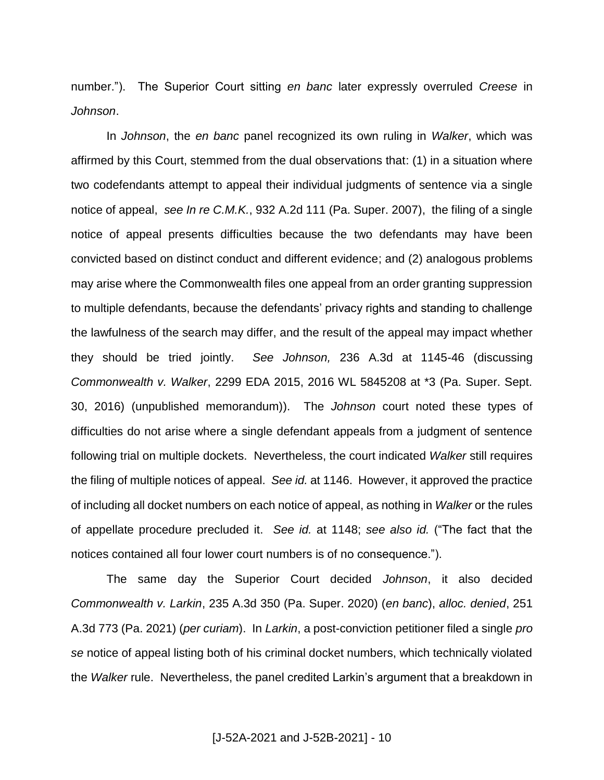number."). The Superior Court sitting *en banc* later expressly overruled *Creese* in *Johnson*.

In *Johnson*, the *en banc* panel recognized its own ruling in *Walker*, which was affirmed by this Court, stemmed from the dual observations that: (1) in a situation where two codefendants attempt to appeal their individual judgments of sentence via a single notice of appeal, *see In re C.M.K.*, 932 A.2d 111 (Pa. Super. 2007), the filing of a single notice of appeal presents difficulties because the two defendants may have been convicted based on distinct conduct and different evidence; and (2) analogous problems may arise where the Commonwealth files one appeal from an order granting suppression to multiple defendants, because the defendants' privacy rights and standing to challenge the lawfulness of the search may differ, and the result of the appeal may impact whether they should be tried jointly. *See Johnson,* 236 A.3d at 1145-46 (discussing *Commonwealth v. Walker*, 2299 EDA 2015, 2016 WL 5845208 at \*3 (Pa. Super. Sept. 30, 2016) (unpublished memorandum)). The *Johnson* court noted these types of difficulties do not arise where a single defendant appeals from a judgment of sentence following trial on multiple dockets. Nevertheless, the court indicated *Walker* still requires the filing of multiple notices of appeal. *See id.* at 1146. However, it approved the practice of including all docket numbers on each notice of appeal, as nothing in *Walker* or the rules of appellate procedure precluded it. *See id.* at 1148; *see also id.* ("The fact that the notices contained all four lower court numbers is of no consequence.").

The same day the Superior Court decided *Johnson*, it also decided *Commonwealth v. Larkin*, 235 A.3d 350 (Pa. Super. 2020) (*en banc*), *alloc. denied*, 251 A.3d 773 (Pa. 2021) (*per curiam*). In *Larkin*, a post-conviction petitioner filed a single *pro se* notice of appeal listing both of his criminal docket numbers, which technically violated the *Walker* rule. Nevertheless, the panel credited Larkin's argument that a breakdown in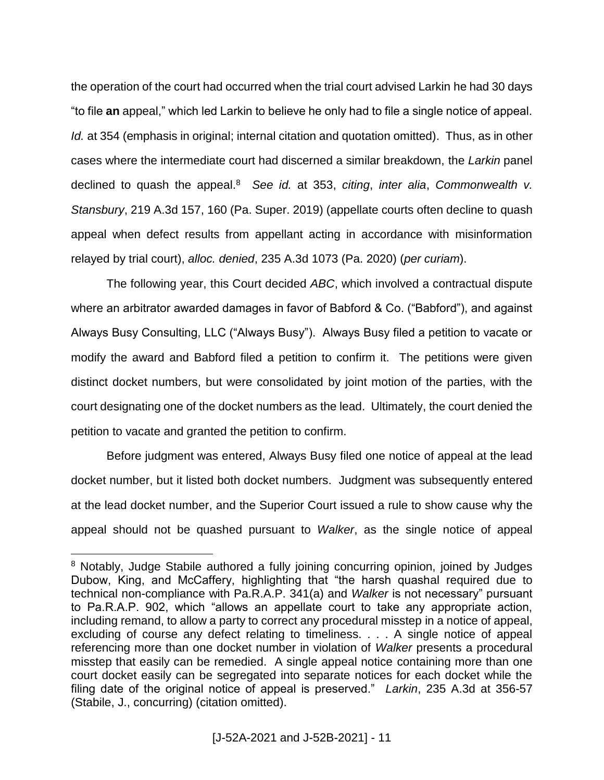the operation of the court had occurred when the trial court advised Larkin he had 30 days "to file **an** appeal," which led Larkin to believe he only had to file a single notice of appeal. *Id.* at 354 (emphasis in original; internal citation and quotation omitted). Thus, as in other cases where the intermediate court had discerned a similar breakdown, the *Larkin* panel declined to quash the appeal.<sup>8</sup> See id. at 353, *citing, inter alia, Commonwealth v. Stansbury*, 219 A.3d 157, 160 (Pa. Super. 2019) (appellate courts often decline to quash appeal when defect results from appellant acting in accordance with misinformation relayed by trial court), *alloc. denied*, 235 A.3d 1073 (Pa. 2020) (*per curiam*).

The following year, this Court decided *ABC*, which involved a contractual dispute where an arbitrator awarded damages in favor of Babford & Co. ("Babford"), and against Always Busy Consulting, LLC ("Always Busy"). Always Busy filed a petition to vacate or modify the award and Babford filed a petition to confirm it. The petitions were given distinct docket numbers, but were consolidated by joint motion of the parties, with the court designating one of the docket numbers as the lead. Ultimately, the court denied the petition to vacate and granted the petition to confirm.

Before judgment was entered, Always Busy filed one notice of appeal at the lead docket number, but it listed both docket numbers. Judgment was subsequently entered at the lead docket number, and the Superior Court issued a rule to show cause why the appeal should not be quashed pursuant to *Walker*, as the single notice of appeal

<sup>&</sup>lt;sup>8</sup> Notably, Judge Stabile authored a fully joining concurring opinion, joined by Judges Dubow, King, and McCaffery, highlighting that "the harsh quashal required due to technical non-compliance with Pa.R.A.P. 341(a) and *Walker* is not necessary" pursuant to Pa.R.A.P. 902, which "allows an appellate court to take any appropriate action, including remand, to allow a party to correct any procedural misstep in a notice of appeal, excluding of course any defect relating to timeliness. . . . A single notice of appeal referencing more than one docket number in violation of *Walker* presents a procedural misstep that easily can be remedied. A single appeal notice containing more than one court docket easily can be segregated into separate notices for each docket while the filing date of the original notice of appeal is preserved." *Larkin*, 235 A.3d at 356-57 (Stabile, J., concurring) (citation omitted).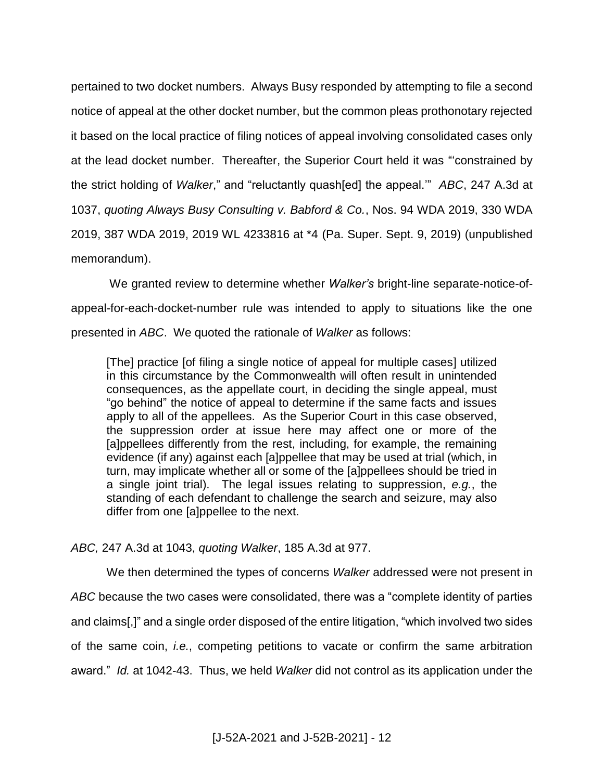pertained to two docket numbers. Always Busy responded by attempting to file a second notice of appeal at the other docket number, but the common pleas prothonotary rejected it based on the local practice of filing notices of appeal involving consolidated cases only at the lead docket number. Thereafter, the Superior Court held it was "'constrained by the strict holding of *Walker*," and "reluctantly quash[ed] the appeal.'" *ABC*, 247 A.3d at 1037, *quoting Always Busy Consulting v. Babford & Co.*, Nos. 94 WDA 2019, 330 WDA 2019, 387 WDA 2019, 2019 WL 4233816 at \*4 (Pa. Super. Sept. 9, 2019) (unpublished memorandum).

We granted review to determine whether *Walker's* bright-line separate-notice-ofappeal-for-each-docket-number rule was intended to apply to situations like the one presented in *ABC*. We quoted the rationale of *Walker* as follows:

[The] practice [of filing a single notice of appeal for multiple cases] utilized in this circumstance by the Commonwealth will often result in unintended consequences, as the appellate court, in deciding the single appeal, must "go behind" the notice of appeal to determine if the same facts and issues apply to all of the appellees. As the Superior Court in this case observed, the suppression order at issue here may affect one or more of the [a]ppellees differently from the rest, including, for example, the remaining evidence (if any) against each [a]ppellee that may be used at trial (which, in turn, may implicate whether all or some of the [a]ppellees should be tried in a single joint trial). The legal issues relating to suppression, *e.g.*, the standing of each defendant to challenge the search and seizure, may also differ from one [a]ppellee to the next.

*ABC,* 247 A.3d at 1043, *quoting Walker*, 185 A.3d at 977.

We then determined the types of concerns *Walker* addressed were not present in *ABC* because the two cases were consolidated, there was a "complete identity of parties and claims[,]" and a single order disposed of the entire litigation, "which involved two sides of the same coin, *i.e.*, competing petitions to vacate or confirm the same arbitration award." *Id.* at 1042-43. Thus, we held *Walker* did not control as its application under the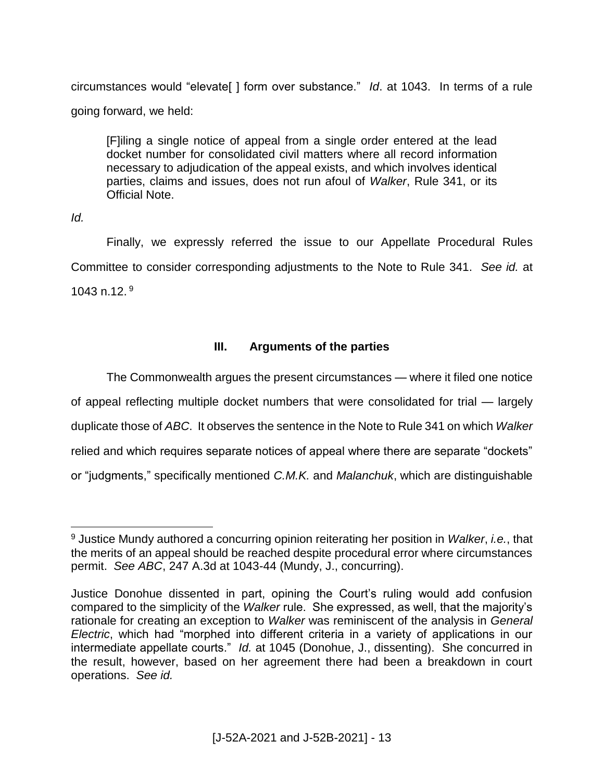circumstances would "elevate[ ] form over substance." *Id*. at 1043. In terms of a rule going forward, we held:

[F]iling a single notice of appeal from a single order entered at the lead docket number for consolidated civil matters where all record information necessary to adjudication of the appeal exists, and which involves identical parties, claims and issues, does not run afoul of *Walker*, Rule 341, or its Official Note.

*Id.* 

 $\overline{a}$ 

Finally, we expressly referred the issue to our Appellate Procedural Rules Committee to consider corresponding adjustments to the Note to Rule 341. *See id.* at 1043 n.12. $9$ 

## **III. Arguments of the parties**

The Commonwealth argues the present circumstances — where it filed one notice of appeal reflecting multiple docket numbers that were consolidated for trial — largely duplicate those of *ABC*. It observes the sentence in the Note to Rule 341 on which *Walker* relied and which requires separate notices of appeal where there are separate "dockets" or "judgments," specifically mentioned *C.M.K.* and *Malanchuk*, which are distinguishable

<sup>9</sup> Justice Mundy authored a concurring opinion reiterating her position in *Walker*, *i.e.*, that the merits of an appeal should be reached despite procedural error where circumstances permit. *See ABC*, 247 A.3d at 1043-44 (Mundy, J., concurring).

Justice Donohue dissented in part, opining the Court's ruling would add confusion compared to the simplicity of the *Walker* rule. She expressed, as well, that the majority's rationale for creating an exception to *Walker* was reminiscent of the analysis in *General Electric*, which had "morphed into different criteria in a variety of applications in our intermediate appellate courts." *Id.* at 1045 (Donohue, J., dissenting). She concurred in the result, however, based on her agreement there had been a breakdown in court operations. *See id.*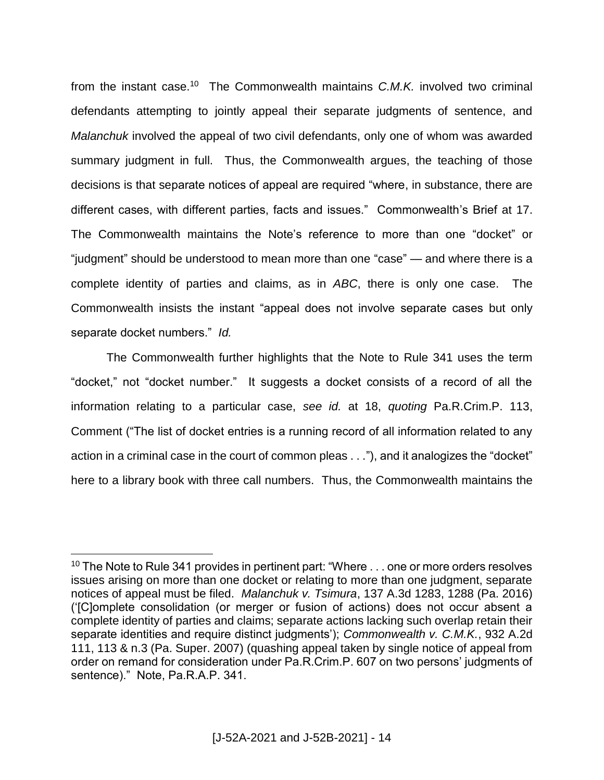from the instant case.<sup>10</sup> The Commonwealth maintains C.M.K. involved two criminal defendants attempting to jointly appeal their separate judgments of sentence, and *Malanchuk* involved the appeal of two civil defendants, only one of whom was awarded summary judgment in full. Thus, the Commonwealth argues, the teaching of those decisions is that separate notices of appeal are required "where, in substance, there are different cases, with different parties, facts and issues." Commonwealth's Brief at 17. The Commonwealth maintains the Note's reference to more than one "docket" or "judgment" should be understood to mean more than one "case" — and where there is a complete identity of parties and claims, as in *ABC*, there is only one case. The Commonwealth insists the instant "appeal does not involve separate cases but only separate docket numbers." *Id.*

The Commonwealth further highlights that the Note to Rule 341 uses the term "docket," not "docket number." It suggests a docket consists of a record of all the information relating to a particular case, *see id.* at 18, *quoting* Pa.R.Crim.P. 113, Comment ("The list of docket entries is a running record of all information related to any action in a criminal case in the court of common pleas . . ."), and it analogizes the "docket" here to a library book with three call numbers. Thus, the Commonwealth maintains the

 $10$  The Note to Rule 341 provides in pertinent part: "Where  $\dots$  one or more orders resolves issues arising on more than one docket or relating to more than one judgment, separate notices of appeal must be filed. *Malanchuk v. Tsimura*, 137 A.3d 1283, 1288 (Pa. 2016) ('[C]omplete consolidation (or merger or fusion of actions) does not occur absent a complete identity of parties and claims; separate actions lacking such overlap retain their separate identities and require distinct judgments'); *Commonwealth v. C.M.K.*, 932 A.2d 111, 113 & n.3 (Pa. Super. 2007) (quashing appeal taken by single notice of appeal from order on remand for consideration under Pa.R.Crim.P. 607 on two persons' judgments of sentence)." Note, Pa.R.A.P. 341.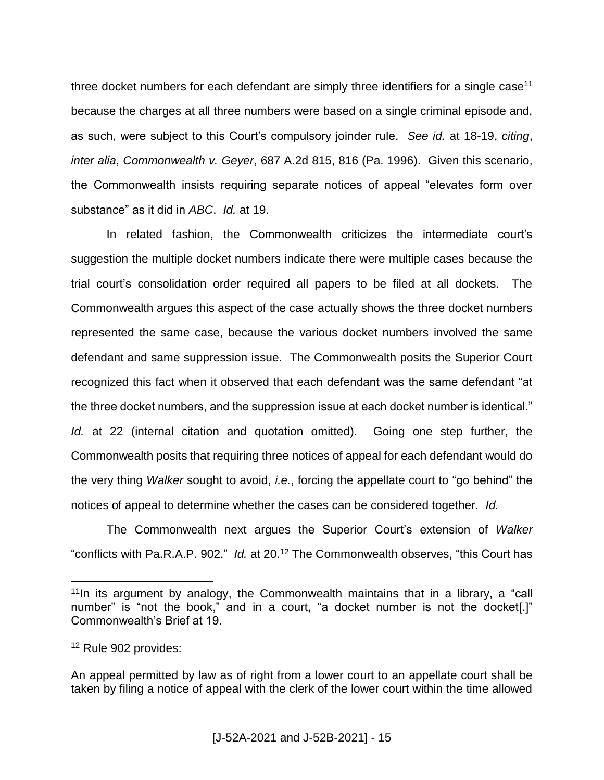three docket numbers for each defendant are simply three identifiers for a single case<sup>11</sup> because the charges at all three numbers were based on a single criminal episode and, as such, were subject to this Court's compulsory joinder rule. *See id.* at 18-19, *citing*, *inter alia*, *Commonwealth v. Geyer*, 687 A.2d 815, 816 (Pa. 1996). Given this scenario, the Commonwealth insists requiring separate notices of appeal "elevates form over substance" as it did in *ABC*. *Id.* at 19.

In related fashion, the Commonwealth criticizes the intermediate court's suggestion the multiple docket numbers indicate there were multiple cases because the trial court's consolidation order required all papers to be filed at all dockets. The Commonwealth argues this aspect of the case actually shows the three docket numbers represented the same case, because the various docket numbers involved the same defendant and same suppression issue. The Commonwealth posits the Superior Court recognized this fact when it observed that each defendant was the same defendant "at the three docket numbers, and the suppression issue at each docket number is identical." *Id.* at 22 (internal citation and quotation omitted). Going one step further, the Commonwealth posits that requiring three notices of appeal for each defendant would do the very thing *Walker* sought to avoid, *i.e.*, forcing the appellate court to "go behind" the notices of appeal to determine whether the cases can be considered together. *Id.*

The Commonwealth next argues the Superior Court's extension of *Walker*  "conflicts with Pa.R.A.P. 902." *Id.* at 20.<sup>12</sup> The Commonwealth observes, "this Court has

 $11$ In its argument by analogy, the Commonwealth maintains that in a library, a "call number" is "not the book," and in a court, "a docket number is not the docket[.]" Commonwealth's Brief at 19.

<sup>&</sup>lt;sup>12</sup> Rule 902 provides:

An appeal permitted by law as of right from a lower court to an appellate court shall be taken by filing a notice of appeal with the clerk of the lower court within the time allowed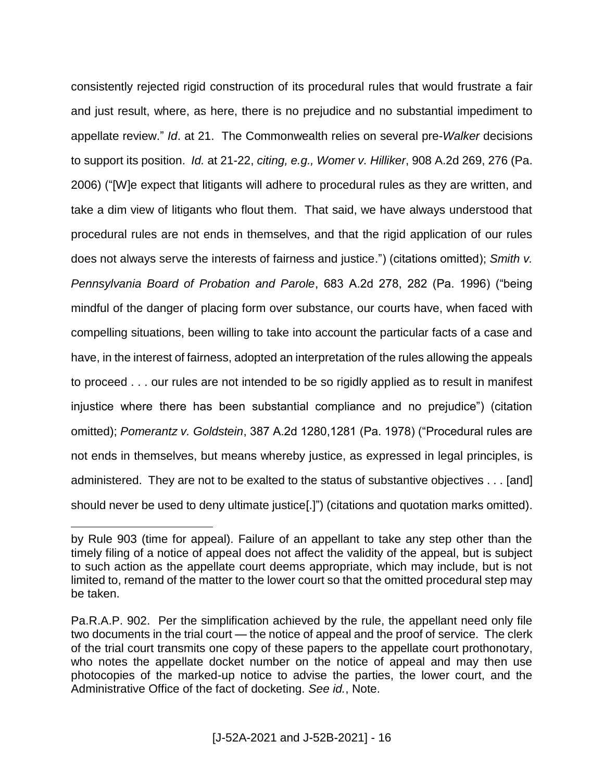consistently rejected rigid construction of its procedural rules that would frustrate a fair and just result, where, as here, there is no prejudice and no substantial impediment to appellate review." *Id*. at 21. The Commonwealth relies on several pre-*Walker* decisions to support its position. *Id.* at 21-22, *citing, e.g., Womer v. Hilliker*, 908 A.2d 269, 276 (Pa. 2006) ("[W]e expect that litigants will adhere to procedural rules as they are written, and take a dim view of litigants who flout them. That said, we have always understood that procedural rules are not ends in themselves, and that the rigid application of our rules does not always serve the interests of fairness and justice.") (citations omitted); *Smith v. Pennsylvania Board of Probation and Parole*, 683 A.2d 278, 282 (Pa. 1996) ("being mindful of the danger of placing form over substance, our courts have, when faced with compelling situations, been willing to take into account the particular facts of a case and have, in the interest of fairness, adopted an interpretation of the rules allowing the appeals to proceed . . . our rules are not intended to be so rigidly applied as to result in manifest injustice where there has been substantial compliance and no prejudice") (citation omitted); *Pomerantz v. Goldstein*, 387 A.2d 1280,1281 (Pa. 1978) ("Procedural rules are not ends in themselves, but means whereby justice, as expressed in legal principles, is administered. They are not to be exalted to the status of substantive objectives . . . [and] should never be used to deny ultimate justice[.]") (citations and quotation marks omitted).

by Rule 903 (time for appeal). Failure of an appellant to take any step other than the timely filing of a notice of appeal does not affect the validity of the appeal, but is subject to such action as the appellate court deems appropriate, which may include, but is not limited to, remand of the matter to the lower court so that the omitted procedural step may be taken.

Pa.R.A.P. 902. Per the simplification achieved by the rule, the appellant need only file two documents in the trial court — the notice of appeal and the proof of service. The clerk of the trial court transmits one copy of these papers to the appellate court prothonotary, who notes the appellate docket number on the notice of appeal and may then use photocopies of the marked-up notice to advise the parties, the lower court, and the Administrative Office of the fact of docketing. *See id.*, Note.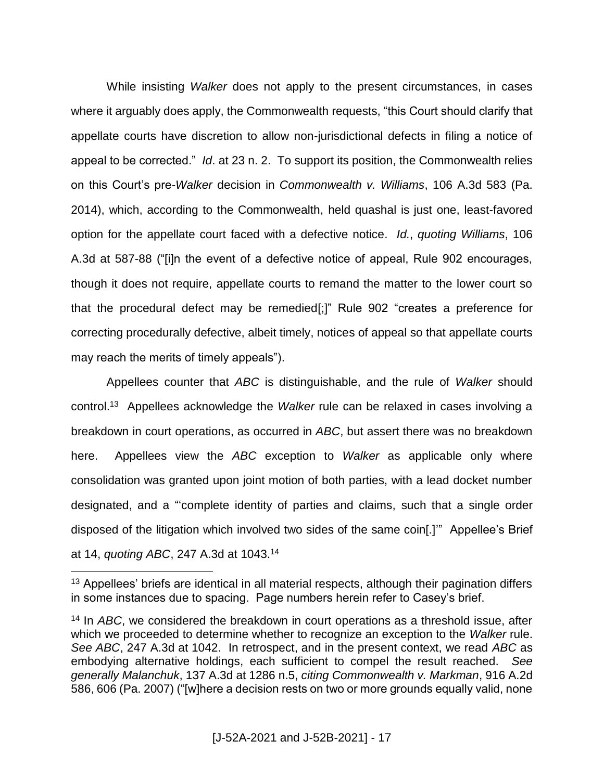While insisting *Walker* does not apply to the present circumstances, in cases where it arguably does apply, the Commonwealth requests, "this Court should clarify that appellate courts have discretion to allow non-jurisdictional defects in filing a notice of appeal to be corrected." *Id*. at 23 n. 2. To support its position, the Commonwealth relies on this Court's pre-*Walker* decision in *Commonwealth v. Williams*, 106 A.3d 583 (Pa. 2014), which, according to the Commonwealth, held quashal is just one, least-favored option for the appellate court faced with a defective notice. *Id.*, *quoting Williams*, 106 A.3d at 587-88 ("[i]n the event of a defective notice of appeal, Rule 902 encourages, though it does not require, appellate courts to remand the matter to the lower court so that the procedural defect may be remedied[;]" Rule 902 "creates a preference for correcting procedurally defective, albeit timely, notices of appeal so that appellate courts may reach the merits of timely appeals").

Appellees counter that *ABC* is distinguishable, and the rule of *Walker* should control.<sup>13</sup> Appellees acknowledge the *Walker* rule can be relaxed in cases involving a breakdown in court operations, as occurred in *ABC*, but assert there was no breakdown here. Appellees view the *ABC* exception to *Walker* as applicable only where consolidation was granted upon joint motion of both parties, with a lead docket number designated, and a "'complete identity of parties and claims, such that a single order disposed of the litigation which involved two sides of the same coin[.]'" Appellee's Brief at 14, *quoting ABC*, 247 A.3d at 1043.<sup>14</sup>

<sup>&</sup>lt;sup>13</sup> Appellees' briefs are identical in all material respects, although their pagination differs in some instances due to spacing. Page numbers herein refer to Casey's brief.

<sup>14</sup> In *ABC*, we considered the breakdown in court operations as a threshold issue, after which we proceeded to determine whether to recognize an exception to the *Walker* rule. *See ABC*, 247 A.3d at 1042. In retrospect, and in the present context, we read *ABC* as embodying alternative holdings, each sufficient to compel the result reached. *See generally Malanchuk*, 137 A.3d at 1286 n.5, *citing Commonwealth v. Markman*, 916 A.2d 586, 606 (Pa. 2007) ("[w]here a decision rests on two or more grounds equally valid, none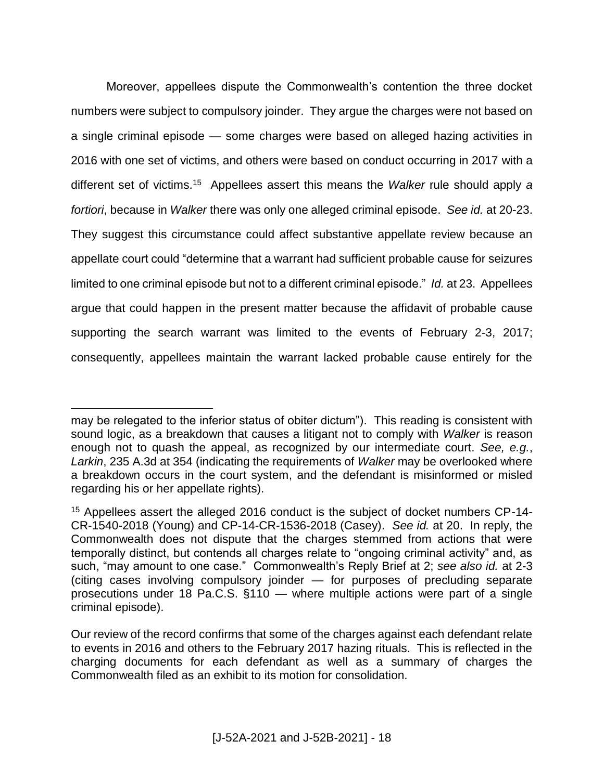Moreover, appellees dispute the Commonwealth's contention the three docket numbers were subject to compulsory joinder. They argue the charges were not based on a single criminal episode — some charges were based on alleged hazing activities in 2016 with one set of victims, and others were based on conduct occurring in 2017 with a different set of victims.<sup>15</sup> Appellees assert this means the *Walker* rule should apply *a fortiori*, because in *Walker* there was only one alleged criminal episode. *See id.* at 20-23. They suggest this circumstance could affect substantive appellate review because an appellate court could "determine that a warrant had sufficient probable cause for seizures limited to one criminal episode but not to a different criminal episode." *Id.* at 23. Appellees argue that could happen in the present matter because the affidavit of probable cause supporting the search warrant was limited to the events of February 2-3, 2017; consequently, appellees maintain the warrant lacked probable cause entirely for the

may be relegated to the inferior status of obiter dictum"). This reading is consistent with sound logic, as a breakdown that causes a litigant not to comply with *Walker* is reason enough not to quash the appeal, as recognized by our intermediate court. *See, e.g.*, *Larkin*, 235 A.3d at 354 (indicating the requirements of *Walker* may be overlooked where a breakdown occurs in the court system, and the defendant is misinformed or misled regarding his or her appellate rights).

<sup>&</sup>lt;sup>15</sup> Appellees assert the alleged 2016 conduct is the subject of docket numbers CP-14-CR-1540-2018 (Young) and CP-14-CR-1536-2018 (Casey). *See id.* at 20. In reply, the Commonwealth does not dispute that the charges stemmed from actions that were temporally distinct, but contends all charges relate to "ongoing criminal activity" and, as such, "may amount to one case." Commonwealth's Reply Brief at 2; *see also id.* at 2-3 (citing cases involving compulsory joinder — for purposes of precluding separate prosecutions under 18 Pa.C.S. §110 — where multiple actions were part of a single criminal episode).

Our review of the record confirms that some of the charges against each defendant relate to events in 2016 and others to the February 2017 hazing rituals. This is reflected in the charging documents for each defendant as well as a summary of charges the Commonwealth filed as an exhibit to its motion for consolidation.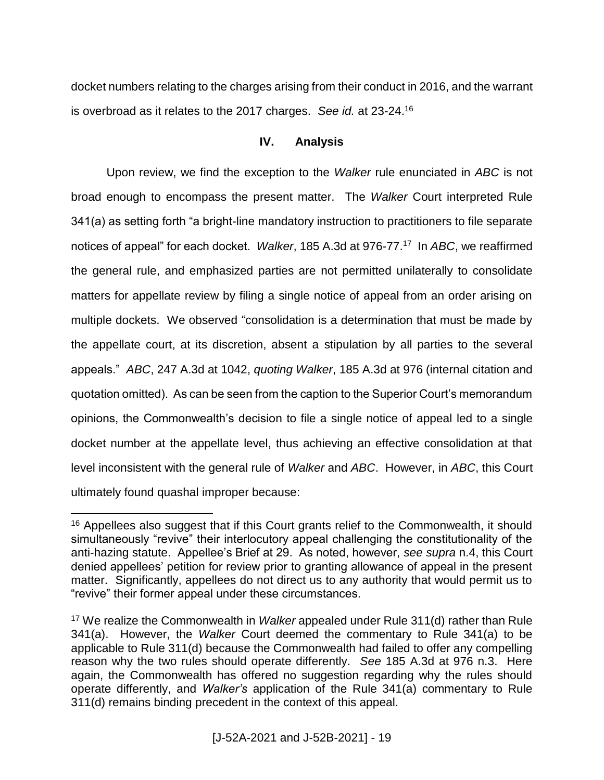docket numbers relating to the charges arising from their conduct in 2016, and the warrant is overbroad as it relates to the 2017 charges. *See id.* at 23-24.<sup>16</sup>

### **IV. Analysis**

Upon review, we find the exception to the *Walker* rule enunciated in *ABC* is not broad enough to encompass the present matter. The *Walker* Court interpreted Rule 341(a) as setting forth "a bright-line mandatory instruction to practitioners to file separate notices of appeal" for each docket. *Walker*, 185 A.3d at 976-77.<sup>17</sup> In *ABC*, we reaffirmed the general rule, and emphasized parties are not permitted unilaterally to consolidate matters for appellate review by filing a single notice of appeal from an order arising on multiple dockets. We observed "consolidation is a determination that must be made by the appellate court, at its discretion, absent a stipulation by all parties to the several appeals." *ABC*, 247 A.3d at 1042, *quoting Walker*, 185 A.3d at 976 (internal citation and quotation omitted). As can be seen from the caption to the Superior Court's memorandum opinions, the Commonwealth's decision to file a single notice of appeal led to a single docket number at the appellate level, thus achieving an effective consolidation at that level inconsistent with the general rule of *Walker* and *ABC*. However, in *ABC*, this Court ultimately found quashal improper because:

<sup>&</sup>lt;sup>16</sup> Appellees also suggest that if this Court grants relief to the Commonwealth, it should simultaneously "revive" their interlocutory appeal challenging the constitutionality of the anti-hazing statute. Appellee's Brief at 29. As noted, however, *see supra* n.4, this Court denied appellees' petition for review prior to granting allowance of appeal in the present matter. Significantly, appellees do not direct us to any authority that would permit us to "revive" their former appeal under these circumstances.

<sup>17</sup> We realize the Commonwealth in *Walker* appealed under Rule 311(d) rather than Rule 341(a). However, the *Walker* Court deemed the commentary to Rule 341(a) to be applicable to Rule 311(d) because the Commonwealth had failed to offer any compelling reason why the two rules should operate differently. *See* 185 A.3d at 976 n.3. Here again, the Commonwealth has offered no suggestion regarding why the rules should operate differently, and *Walker's* application of the Rule 341(a) commentary to Rule 311(d) remains binding precedent in the context of this appeal.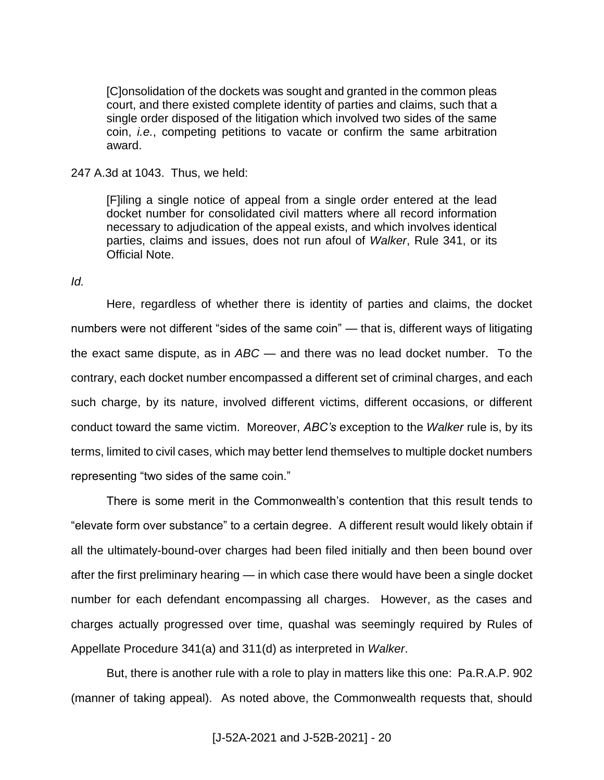[C]onsolidation of the dockets was sought and granted in the common pleas court, and there existed complete identity of parties and claims, such that a single order disposed of the litigation which involved two sides of the same coin, *i.e.*, competing petitions to vacate or confirm the same arbitration award.

247 A.3d at 1043. Thus, we held:

[F]iling a single notice of appeal from a single order entered at the lead docket number for consolidated civil matters where all record information necessary to adjudication of the appeal exists, and which involves identical parties, claims and issues, does not run afoul of *Walker*, Rule 341, or its Official Note.

*Id.*

Here, regardless of whether there is identity of parties and claims, the docket numbers were not different "sides of the same coin" — that is, different ways of litigating the exact same dispute, as in *ABC* — and there was no lead docket number. To the contrary, each docket number encompassed a different set of criminal charges, and each such charge, by its nature, involved different victims, different occasions, or different conduct toward the same victim. Moreover, *ABC's* exception to the *Walker* rule is, by its terms, limited to civil cases, which may better lend themselves to multiple docket numbers representing "two sides of the same coin."

There is some merit in the Commonwealth's contention that this result tends to "elevate form over substance" to a certain degree. A different result would likely obtain if all the ultimately-bound-over charges had been filed initially and then been bound over after the first preliminary hearing — in which case there would have been a single docket number for each defendant encompassing all charges. However, as the cases and charges actually progressed over time, quashal was seemingly required by Rules of Appellate Procedure 341(a) and 311(d) as interpreted in *Walker*.

But, there is another rule with a role to play in matters like this one: Pa.R.A.P. 902 (manner of taking appeal). As noted above, the Commonwealth requests that, should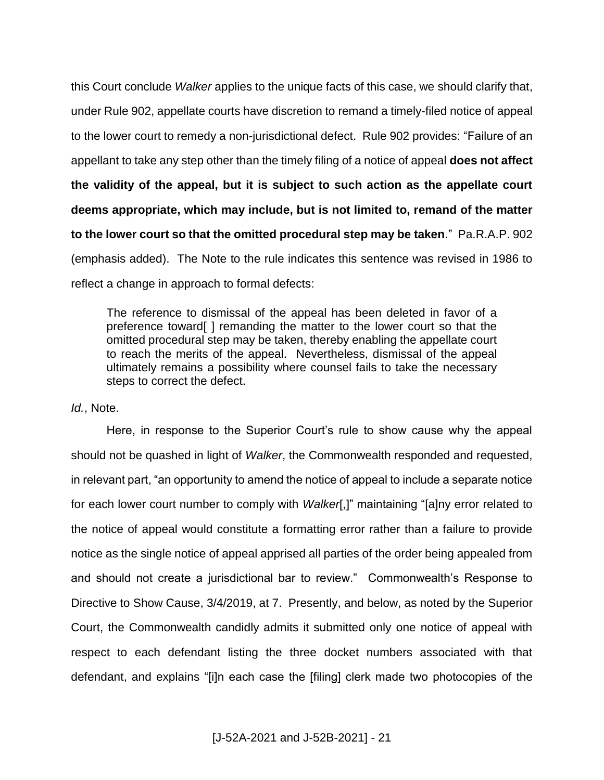this Court conclude *Walker* applies to the unique facts of this case, we should clarify that, under Rule 902, appellate courts have discretion to remand a timely-filed notice of appeal to the lower court to remedy a non-jurisdictional defect. Rule 902 provides: "Failure of an appellant to take any step other than the timely filing of a notice of appeal **does not affect the validity of the appeal, but it is subject to such action as the appellate court deems appropriate, which may include, but is not limited to, remand of the matter to the lower court so that the omitted procedural step may be taken**." Pa.R.A.P. 902 (emphasis added). The Note to the rule indicates this sentence was revised in 1986 to reflect a change in approach to formal defects:

The reference to dismissal of the appeal has been deleted in favor of a preference toward[ ] remanding the matter to the lower court so that the omitted procedural step may be taken, thereby enabling the appellate court to reach the merits of the appeal. Nevertheless, dismissal of the appeal ultimately remains a possibility where counsel fails to take the necessary steps to correct the defect.

*Id.*, Note.

Here, in response to the Superior Court's rule to show cause why the appeal should not be quashed in light of *Walker*, the Commonwealth responded and requested, in relevant part, "an opportunity to amend the notice of appeal to include a separate notice for each lower court number to comply with *Walker*[,]" maintaining "[a]ny error related to the notice of appeal would constitute a formatting error rather than a failure to provide notice as the single notice of appeal apprised all parties of the order being appealed from and should not create a jurisdictional bar to review." Commonwealth's Response to Directive to Show Cause, 3/4/2019, at 7. Presently, and below, as noted by the Superior Court, the Commonwealth candidly admits it submitted only one notice of appeal with respect to each defendant listing the three docket numbers associated with that defendant, and explains "[i]n each case the [filing] clerk made two photocopies of the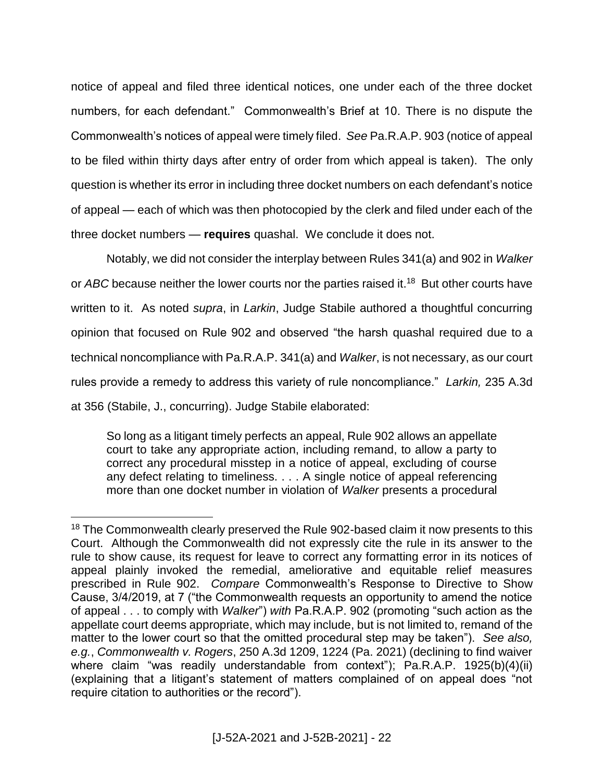notice of appeal and filed three identical notices, one under each of the three docket numbers, for each defendant." Commonwealth's Brief at 10. There is no dispute the Commonwealth's notices of appeal were timely filed. *See* Pa.R.A.P. 903 (notice of appeal to be filed within thirty days after entry of order from which appeal is taken). The only question is whether its error in including three docket numbers on each defendant's notice of appeal — each of which was then photocopied by the clerk and filed under each of the three docket numbers — **requires** quashal. We conclude it does not.

Notably, we did not consider the interplay between Rules 341(a) and 902 in *Walker* or ABC because neither the lower courts nor the parties raised it.<sup>18</sup> But other courts have written to it. As noted *supra*, in *Larkin*, Judge Stabile authored a thoughtful concurring opinion that focused on Rule 902 and observed "the harsh quashal required due to a technical noncompliance with Pa.R.A.P. 341(a) and *Walker*, is not necessary, as our court rules provide a remedy to address this variety of rule noncompliance." *Larkin,* 235 A.3d at 356 (Stabile, J., concurring). Judge Stabile elaborated:

So long as a litigant timely perfects an appeal, Rule 902 allows an appellate court to take any appropriate action, including remand, to allow a party to correct any procedural misstep in a notice of appeal, excluding of course any defect relating to timeliness. . . . A single notice of appeal referencing more than one docket number in violation of *Walker* presents a procedural

<sup>&</sup>lt;sup>18</sup> The Commonwealth clearly preserved the Rule 902-based claim it now presents to this Court. Although the Commonwealth did not expressly cite the rule in its answer to the rule to show cause, its request for leave to correct any formatting error in its notices of appeal plainly invoked the remedial, ameliorative and equitable relief measures prescribed in Rule 902. *Compare* Commonwealth's Response to Directive to Show Cause, 3/4/2019, at 7 ("the Commonwealth requests an opportunity to amend the notice of appeal . . . to comply with *Walker*") *with* Pa.R.A.P. 902 (promoting "such action as the appellate court deems appropriate, which may include, but is not limited to, remand of the matter to the lower court so that the omitted procedural step may be taken"). *See also, e.g.*, *Commonwealth v. Rogers*, 250 A.3d 1209, 1224 (Pa. 2021) (declining to find waiver where claim "was readily understandable from context"); Pa.R.A.P. 1925(b)(4)(ii) (explaining that a litigant's statement of matters complained of on appeal does "not require citation to authorities or the record").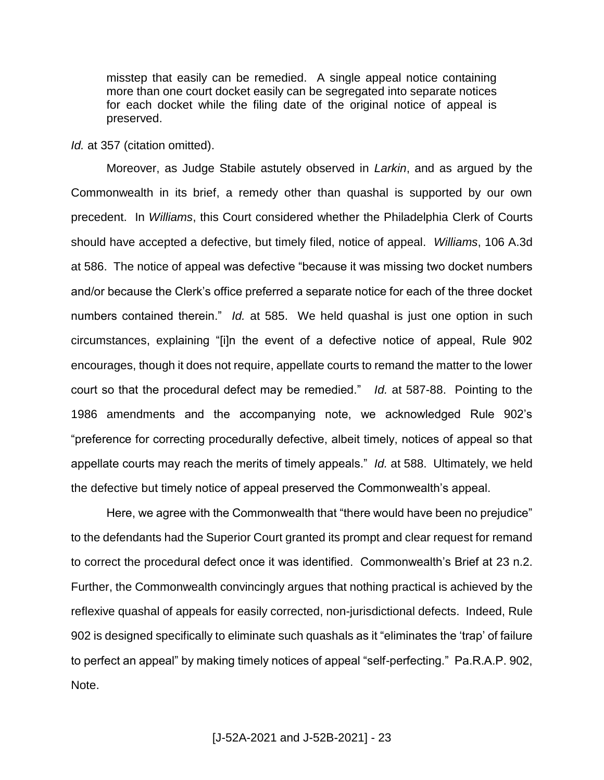misstep that easily can be remedied. A single appeal notice containing more than one court docket easily can be segregated into separate notices for each docket while the filing date of the original notice of appeal is preserved.

*Id.* at 357 (citation omitted).

Moreover, as Judge Stabile astutely observed in *Larkin*, and as argued by the Commonwealth in its brief, a remedy other than quashal is supported by our own precedent. In *Williams*, this Court considered whether the Philadelphia Clerk of Courts should have accepted a defective, but timely filed, notice of appeal. *Williams*, 106 A.3d at 586. The notice of appeal was defective "because it was missing two docket numbers and/or because the Clerk's office preferred a separate notice for each of the three docket numbers contained therein." *Id.* at 585. We held quashal is just one option in such circumstances, explaining "[i]n the event of a defective notice of appeal, Rule 902 encourages, though it does not require, appellate courts to remand the matter to the lower court so that the procedural defect may be remedied." *Id.* at 587-88. Pointing to the 1986 amendments and the accompanying note, we acknowledged Rule 902's "preference for correcting procedurally defective, albeit timely, notices of appeal so that appellate courts may reach the merits of timely appeals." *Id.* at 588. Ultimately, we held the defective but timely notice of appeal preserved the Commonwealth's appeal.

Here, we agree with the Commonwealth that "there would have been no prejudice" to the defendants had the Superior Court granted its prompt and clear request for remand to correct the procedural defect once it was identified. Commonwealth's Brief at 23 n.2. Further, the Commonwealth convincingly argues that nothing practical is achieved by the reflexive quashal of appeals for easily corrected, non-jurisdictional defects. Indeed, Rule 902 is designed specifically to eliminate such quashals as it "eliminates the 'trap' of failure to perfect an appeal" by making timely notices of appeal "self-perfecting." Pa.R.A.P. 902, Note.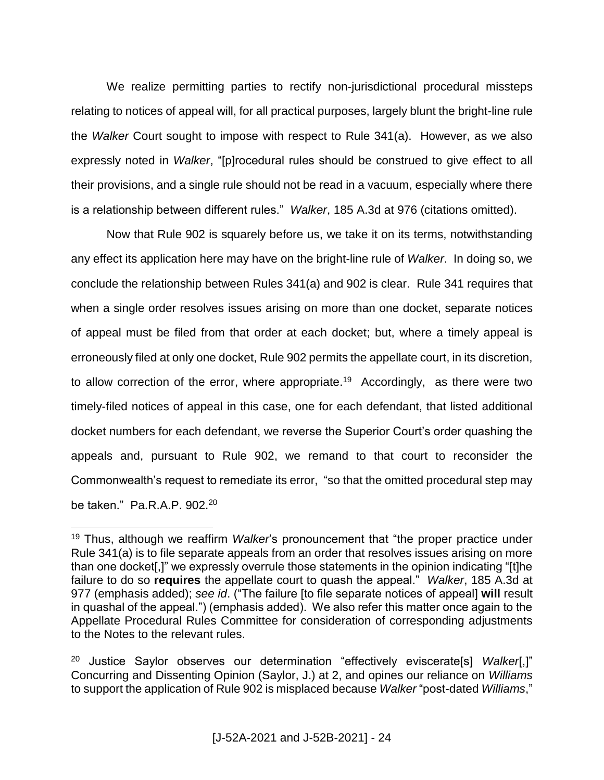We realize permitting parties to rectify non-jurisdictional procedural missteps relating to notices of appeal will, for all practical purposes, largely blunt the bright-line rule the *Walker* Court sought to impose with respect to Rule 341(a). However, as we also expressly noted in *Walker*, "[p]rocedural rules should be construed to give effect to all their provisions, and a single rule should not be read in a vacuum, especially where there is a relationship between different rules." *Walker*, 185 A.3d at 976 (citations omitted).

Now that Rule 902 is squarely before us, we take it on its terms, notwithstanding any effect its application here may have on the bright-line rule of *Walker*. In doing so, we conclude the relationship between Rules 341(a) and 902 is clear. Rule 341 requires that when a single order resolves issues arising on more than one docket, separate notices of appeal must be filed from that order at each docket; but, where a timely appeal is erroneously filed at only one docket, Rule 902 permits the appellate court, in its discretion, to allow correction of the error, where appropriate.<sup>19</sup> Accordingly, as there were two timely-filed notices of appeal in this case, one for each defendant, that listed additional docket numbers for each defendant, we reverse the Superior Court's order quashing the appeals and, pursuant to Rule 902, we remand to that court to reconsider the Commonwealth's request to remediate its error, "so that the omitted procedural step may be taken." Pa.R.A.P. 902.<sup>20</sup>

<sup>19</sup> Thus, although we reaffirm *Walker*'s pronouncement that "the proper practice under Rule 341(a) is to file separate appeals from an order that resolves issues arising on more than one docket[,]" we expressly overrule those statements in the opinion indicating "[t]he failure to do so **requires** the appellate court to quash the appeal." *Walker*, 185 A.3d at 977 (emphasis added); *see id*. ("The failure [to file separate notices of appeal] **will** result in quashal of the appeal.") (emphasis added). We also refer this matter once again to the Appellate Procedural Rules Committee for consideration of corresponding adjustments to the Notes to the relevant rules.

<sup>20</sup> Justice Saylor observes our determination "effectively eviscerate[s] *Walker*[,]" Concurring and Dissenting Opinion (Saylor, J.) at 2, and opines our reliance on *Williams* to support the application of Rule 902 is misplaced because *Walker* "post-dated *Williams*,"